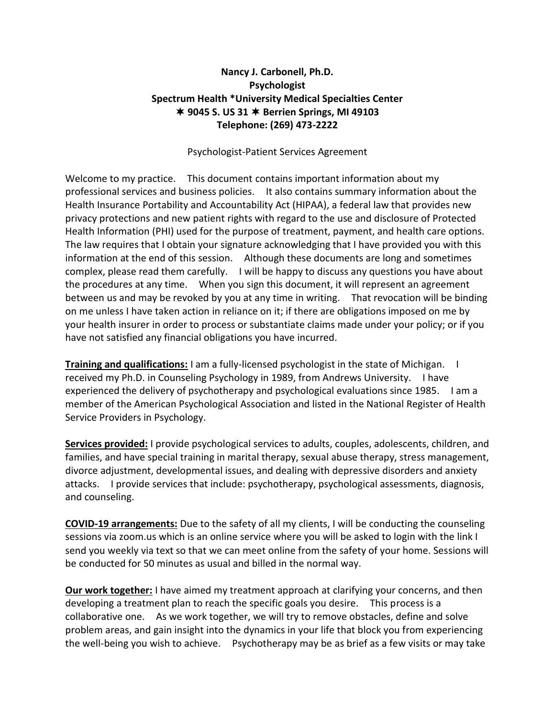## **Nancy J. Carbonell, Ph.D. Psychologist Spectrum Health \*University Medical Specialties Center 9045 S. US 31 Berrien Springs, MI 49103 Telephone: (269) 473-2222**

Psychologist-Patient Services Agreement

Welcome to my practice. This document contains important information about my professional services and business policies. It also contains summary information about the Health Insurance Portability and Accountability Act (HIPAA), a federal law that provides new privacy protections and new patient rights with regard to the use and disclosure of Protected Health Information (PHI) used for the purpose of treatment, payment, and health care options. The law requires that I obtain your signature acknowledging that I have provided you with this information at the end of this session. Although these documents are long and sometimes complex, please read them carefully. I will be happy to discuss any questions you have about the procedures at any time. When you sign this document, it will represent an agreement between us and may be revoked by you at any time in writing. That revocation will be binding on me unless I have taken action in reliance on it; if there are obligations imposed on me by your health insurer in order to process or substantiate claims made under your policy; or if you have not satisfied any financial obligations you have incurred.

**Training and qualifications:** I am a fully-licensed psychologist in the state of Michigan. I received my Ph.D. in Counseling Psychology in 1989, from Andrews University. I have experienced the delivery of psychotherapy and psychological evaluations since 1985. I am a member of the American Psychological Association and listed in the National Register of Health Service Providers in Psychology.

**Services provided:** I provide psychological services to adults, couples, adolescents, children, and families, and have special training in marital therapy, sexual abuse therapy, stress management, divorce adjustment, developmental issues, and dealing with depressive disorders and anxiety attacks. I provide services that include: psychotherapy, psychological assessments, diagnosis, and counseling.

**COVID-19 arrangements:** Due to the safety of all my clients, I will be conducting the counseling sessions via zoom.us which is an online service where you will be asked to login with the link I send you weekly via text so that we can meet online from the safety of your home. Sessions will be conducted for 50 minutes as usual and billed in the normal way.

**Our work together:** I have aimed my treatment approach at clarifying your concerns, and then developing a treatment plan to reach the specific goals you desire. This process is a collaborative one. As we work together, we will try to remove obstacles, define and solve problem areas, and gain insight into the dynamics in your life that block you from experiencing the well-being you wish to achieve. Psychotherapy may be as brief as a few visits or may take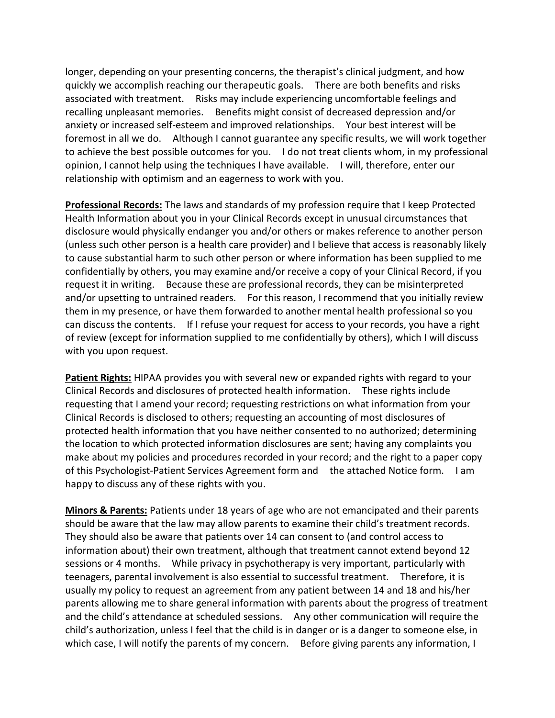longer, depending on your presenting concerns, the therapist's clinical judgment, and how quickly we accomplish reaching our therapeutic goals. There are both benefits and risks associated with treatment. Risks may include experiencing uncomfortable feelings and recalling unpleasant memories. Benefits might consist of decreased depression and/or anxiety or increased self-esteem and improved relationships. Your best interest will be foremost in all we do. Although I cannot guarantee any specific results, we will work together to achieve the best possible outcomes for you. I do not treat clients whom, in my professional opinion, I cannot help using the techniques I have available. I will, therefore, enter our relationship with optimism and an eagerness to work with you.

**Professional Records:** The laws and standards of my profession require that I keep Protected Health Information about you in your Clinical Records except in unusual circumstances that disclosure would physically endanger you and/or others or makes reference to another person (unless such other person is a health care provider) and I believe that access is reasonably likely to cause substantial harm to such other person or where information has been supplied to me confidentially by others, you may examine and/or receive a copy of your Clinical Record, if you request it in writing. Because these are professional records, they can be misinterpreted and/or upsetting to untrained readers. For this reason, I recommend that you initially review them in my presence, or have them forwarded to another mental health professional so you can discuss the contents. If I refuse your request for access to your records, you have a right of review (except for information supplied to me confidentially by others), which I will discuss with you upon request.

**Patient Rights:** HIPAA provides you with several new or expanded rights with regard to your Clinical Records and disclosures of protected health information. These rights include requesting that I amend your record; requesting restrictions on what information from your Clinical Records is disclosed to others; requesting an accounting of most disclosures of protected health information that you have neither consented to no authorized; determining the location to which protected information disclosures are sent; having any complaints you make about my policies and procedures recorded in your record; and the right to a paper copy of this Psychologist-Patient Services Agreement form and the attached Notice form. I am happy to discuss any of these rights with you.

**Minors & Parents:** Patients under 18 years of age who are not emancipated and their parents should be aware that the law may allow parents to examine their child's treatment records. They should also be aware that patients over 14 can consent to (and control access to information about) their own treatment, although that treatment cannot extend beyond 12 sessions or 4 months. While privacy in psychotherapy is very important, particularly with teenagers, parental involvement is also essential to successful treatment. Therefore, it is usually my policy to request an agreement from any patient between 14 and 18 and his/her parents allowing me to share general information with parents about the progress of treatment and the child's attendance at scheduled sessions. Any other communication will require the child's authorization, unless I feel that the child is in danger or is a danger to someone else, in which case, I will notify the parents of my concern. Before giving parents any information, I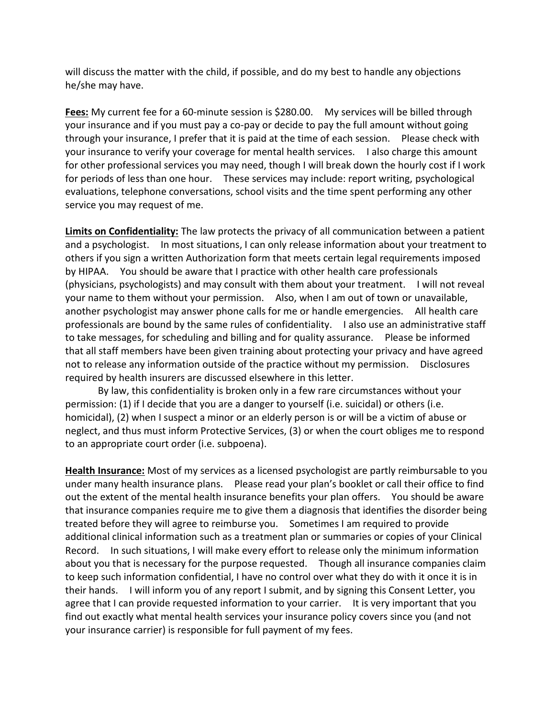will discuss the matter with the child, if possible, and do my best to handle any objections he/she may have.

**Fees:** My current fee for a 60-minute session is \$280.00. My services will be billed through your insurance and if you must pay a co-pay or decide to pay the full amount without going through your insurance, I prefer that it is paid at the time of each session. Please check with your insurance to verify your coverage for mental health services. I also charge this amount for other professional services you may need, though I will break down the hourly cost if I work for periods of less than one hour. These services may include: report writing, psychological evaluations, telephone conversations, school visits and the time spent performing any other service you may request of me.

**Limits on Confidentiality:** The law protects the privacy of all communication between a patient and a psychologist. In most situations, I can only release information about your treatment to others if you sign a written Authorization form that meets certain legal requirements imposed by HIPAA. You should be aware that I practice with other health care professionals (physicians, psychologists) and may consult with them about your treatment. I will not reveal your name to them without your permission. Also, when I am out of town or unavailable, another psychologist may answer phone calls for me or handle emergencies. All health care professionals are bound by the same rules of confidentiality. I also use an administrative staff to take messages, for scheduling and billing and for quality assurance. Please be informed that all staff members have been given training about protecting your privacy and have agreed not to release any information outside of the practice without my permission. Disclosures required by health insurers are discussed elsewhere in this letter.

By law, this confidentiality is broken only in a few rare circumstances without your permission: (1) if I decide that you are a danger to yourself (i.e. suicidal) or others (i.e. homicidal), (2) when I suspect a minor or an elderly person is or will be a victim of abuse or neglect, and thus must inform Protective Services, (3) or when the court obliges me to respond to an appropriate court order (i.e. subpoena).

**Health Insurance:** Most of my services as a licensed psychologist are partly reimbursable to you under many health insurance plans. Please read your plan's booklet or call their office to find out the extent of the mental health insurance benefits your plan offers. You should be aware that insurance companies require me to give them a diagnosis that identifies the disorder being treated before they will agree to reimburse you. Sometimes I am required to provide additional clinical information such as a treatment plan or summaries or copies of your Clinical Record. In such situations, I will make every effort to release only the minimum information about you that is necessary for the purpose requested. Though all insurance companies claim to keep such information confidential, I have no control over what they do with it once it is in their hands. I will inform you of any report I submit, and by signing this Consent Letter, you agree that I can provide requested information to your carrier. It is very important that you find out exactly what mental health services your insurance policy covers since you (and not your insurance carrier) is responsible for full payment of my fees.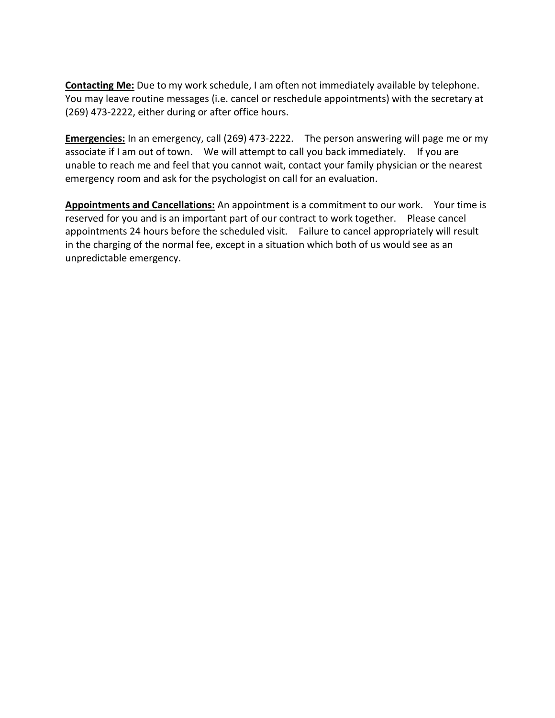**Contacting Me:** Due to my work schedule, I am often not immediately available by telephone. You may leave routine messages (i.e. cancel or reschedule appointments) with the secretary at (269) 473-2222, either during or after office hours.

**Emergencies:** In an emergency, call (269) 473-2222. The person answering will page me or my associate if I am out of town. We will attempt to call you back immediately. If you are unable to reach me and feel that you cannot wait, contact your family physician or the nearest emergency room and ask for the psychologist on call for an evaluation.

**Appointments and Cancellations:** An appointment is a commitment to our work. Your time is reserved for you and is an important part of our contract to work together. Please cancel appointments 24 hours before the scheduled visit. Failure to cancel appropriately will result in the charging of the normal fee, except in a situation which both of us would see as an unpredictable emergency.